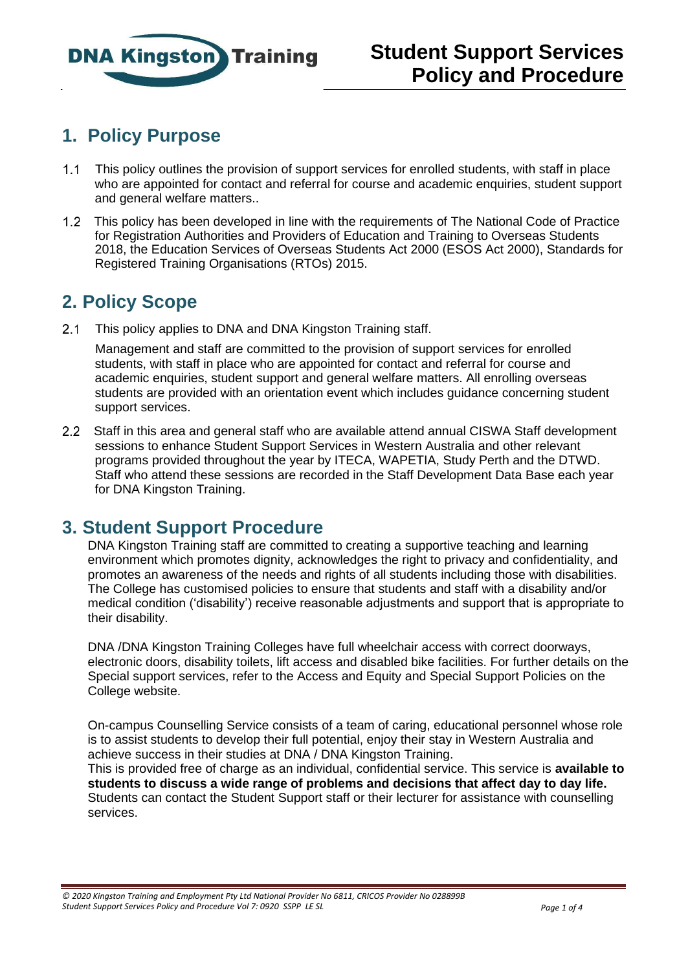

# **1. Policy Purpose**

- $1.1$ This policy outlines the provision of support services for enrolled students, with staff in place who are appointed for contact and referral for course and academic enquiries, student support and general welfare matters..
- This policy has been developed in line with the requirements of The National Code of Practice for Registration Authorities and Providers of Education and Training to Overseas Students 2018, the Education Services of Overseas Students Act 2000 (ESOS Act 2000), Standards for Registered Training Organisations (RTOs) 2015.

# **2. Policy Scope**

2.1 This policy applies to DNA and DNA Kingston Training staff.

Management and staff are committed to the provision of support services for enrolled students, with staff in place who are appointed for contact and referral for course and academic enquiries, student support and general welfare matters. All enrolling overseas students are provided with an orientation event which includes guidance concerning student support services.

2.2 Staff in this area and general staff who are available attend annual CISWA Staff development sessions to enhance Student Support Services in Western Australia and other relevant programs provided throughout the year by ITECA, WAPETIA, Study Perth and the DTWD. Staff who attend these sessions are recorded in the Staff Development Data Base each year for DNA Kingston Training.

#### **3. Student Support Procedure**

DNA Kingston Training staff are committed to creating a supportive teaching and learning environment which promotes dignity, acknowledges the right to privacy and confidentiality, and promotes an awareness of the needs and rights of all students including those with disabilities. The College has customised policies to ensure that students and staff with a disability and/or medical condition ('disability') receive reasonable adjustments and support that is appropriate to their disability.

DNA /DNA Kingston Training Colleges have full wheelchair access with correct doorways, electronic doors, disability toilets, lift access and disabled bike facilities. For further details on the Special support services, refer to the Access and Equity and Special Support Policies on the College website.

On-campus Counselling Service consists of a team of caring, educational personnel whose role is to assist students to develop their full potential, enjoy their stay in Western Australia and achieve success in their studies at DNA / DNA Kingston Training.

This is provided free of charge as an individual, confidential service. This service is **available to students to discuss a wide range of problems and decisions that affect day to day life.**  Students can contact the Student Support staff or their lecturer for assistance with counselling services.

*© 2020 Kingston Training and Employment Pty Ltd National Provider No 6811, CRICOS Provider No 028899B Student Support Services Policy and Procedure Vol 7: 0920 SSPP LE SL Page 1 of 4*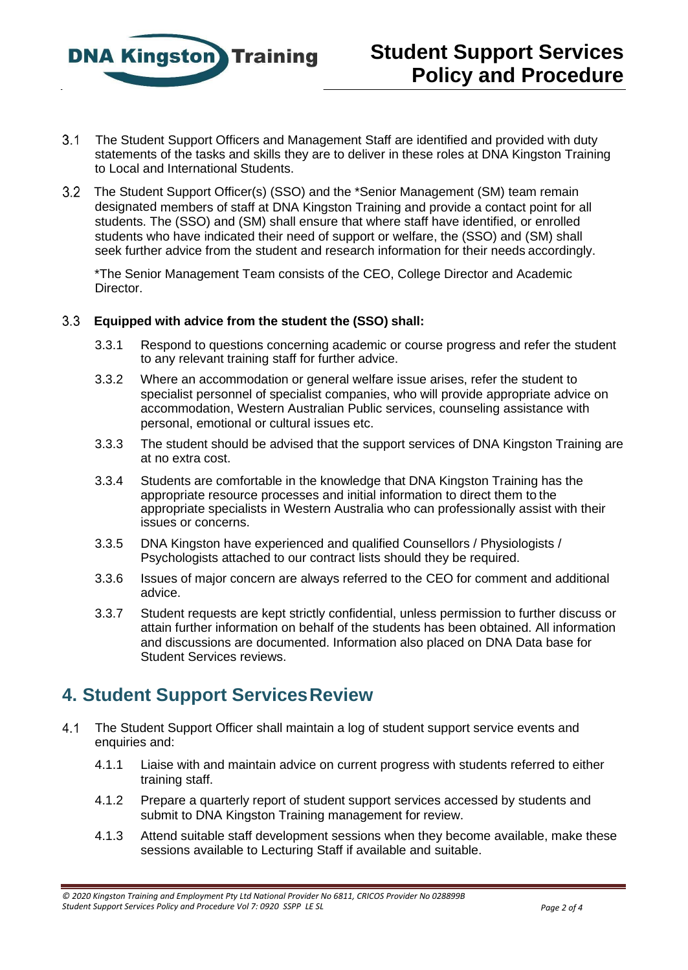

- The Student Support Officers and Management Staff are identified and provided with duty statements of the tasks and skills they are to deliver in these roles at DNA Kingston Training to Local and International Students.
- The Student Support Officer(s) (SSO) and the \*Senior Management (SM) team remain designated members of staff at DNA Kingston Training and provide a contact point for all students. The (SSO) and (SM) shall ensure that where staff have identified, or enrolled students who have indicated their need of support or welfare, the (SSO) and (SM) shall seek further advice from the student and research information for their needs accordingly.

 \*The Senior Management Team consists of the CEO, College Director and Academic Director.

#### **Equipped with advice from the student the (SSO) shall:**

- 3.3.1 Respond to questions concerning academic or course progress and refer the student to any relevant training staff for further advice.
- 3.3.2 Where an accommodation or general welfare issue arises, refer the student to specialist personnel of specialist companies, who will provide appropriate advice on accommodation, Western Australian Public services, counseling assistance with personal, emotional or cultural issues etc.
- 3.3.3 The student should be advised that the support services of DNA Kingston Training are at no extra cost.
- 3.3.4 Students are comfortable in the knowledge that DNA Kingston Training has the appropriate resource processes and initial information to direct them to the appropriate specialists in Western Australia who can professionally assist with their issues or concerns.
- 3.3.5 DNA Kingston have experienced and qualified Counsellors / Physiologists / Psychologists attached to our contract lists should they be required.
- 3.3.6 Issues of major concern are always referred to the CEO for comment and additional advice.
- 3.3.7 Student requests are kept strictly confidential, unless permission to further discuss or attain further information on behalf of the students has been obtained. All information and discussions are documented. Information also placed on DNA Data base for Student Services reviews.

### **4. Student Support ServicesReview**

- $4.1$ The Student Support Officer shall maintain a log of student support service events and enquiries and:
	- 4.1.1 Liaise with and maintain advice on current progress with students referred to either training staff.
	- 4.1.2 Prepare a quarterly report of student support services accessed by students and submit to DNA Kingston Training management for review.
	- 4.1.3 Attend suitable staff development sessions when they become available, make these sessions available to Lecturing Staff if available and suitable.

*<sup>© 2020</sup> Kingston Training and Employment Pty Ltd National Provider No 6811, CRICOS Provider No 028899B Student Support Services Policy and Procedure Vol 7: 0920 SSPP LE SL Page 2 of 4*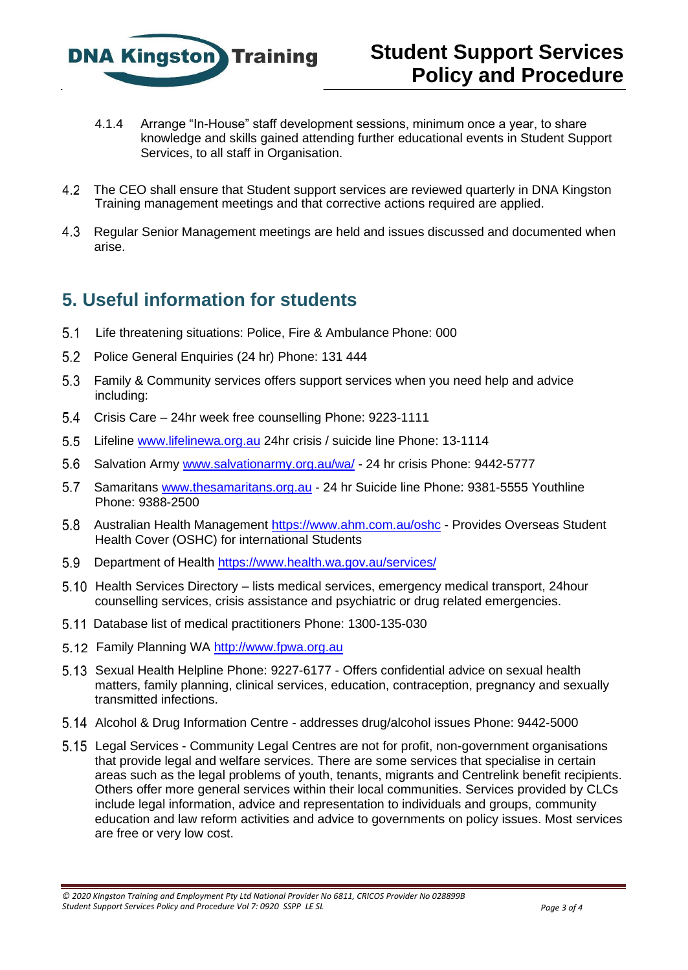

- 4.1.4 Arrange "In-House" staff development sessions, minimum once a year, to share knowledge and skills gained attending further educational events in Student Support Services, to all staff in Organisation.
- The CEO shall ensure that Student support services are reviewed quarterly in DNA Kingston Training management meetings and that corrective actions required are applied.
- Regular Senior Management meetings are held and issues discussed and documented when arise.

### **5. Useful information for students**

- Life threatening situations: Police, Fire & Ambulance Phone: 000
- 5.2 Police General Enquiries (24 hr) Phone: 131 444
- Family & Community services offers support services when you need help and advice including:
- Crisis Care 24hr week free counselling Phone: 9223-1111
- Lifeline www.lifelinewa.org.au [24hr crisis / suicide line Phone: 13-1114](http://www.lifelinewa.org.au/)
- Salvation Army [www.salvationarmy.org.au/wa/](http://www.salvationarmy.org.au/wa/) 24 hr crisis Phone: 9442-5777
- 5.7 Samaritans www.thesamaritans.org.au [24 hr Suicide line Phone: 9381-5555 Youthline](http://www.thesamaritans.org.au/) Phone: 9388-2500
- 5.8 Australian Health Management<https://www.ahm.com.au/oshc> Provides Overseas Student Health Cover (OSHC) for international Students
- Department of Health<https://www.health.wa.gov.au/services/>
- 5.10 Health Services Directory lists medical services, emergency medical transport, 24hour counselling services, crisis assistance and psychiatric or drug related emergencies.
- Database list of medical practitioners Phone: 1300-135-030
- Family Planning WA [http://www.fpwa.org.au](http://www.fpwa.org.au/)
- Sexual Health Helpline Phone: 9227-6177 Offers confidential advice on sexual health matters, family planning, clinical services, education, contraception, pregnancy and sexually transmitted infections.
- Alcohol & Drug Information Centre addresses drug/alcohol issues Phone: 9442-5000
- Legal Services Community Legal Centres are not for profit, non-government organisations that provide legal and welfare services. There are some services that specialise in certain areas such as the legal problems of youth, tenants, migrants and Centrelink benefit recipients. Others offer more general services within their local communities. Services provided by CLCs include legal information, advice and representation to individuals and groups, community education and law reform activities and advice to governments on policy issues. Most services are free or very low cost.

*<sup>© 2020</sup> Kingston Training and Employment Pty Ltd National Provider No 6811, CRICOS Provider No 028899B Student Support Services Policy and Procedure Vol 7: 0920 SSPP LE SL Page 3 of 4*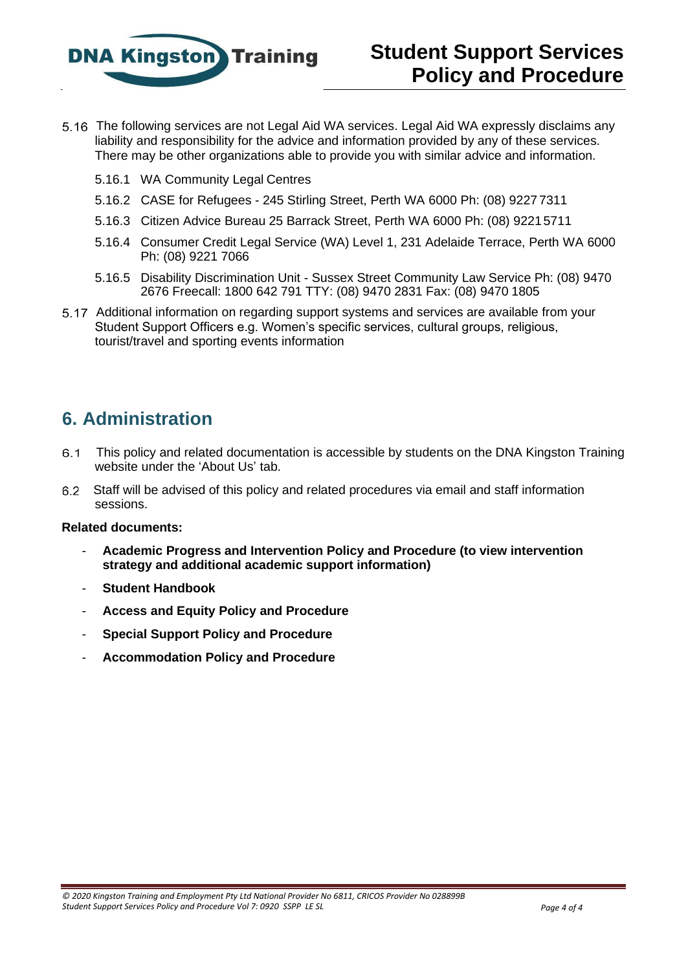

- The following services are not Legal Aid WA services. Legal Aid WA expressly disclaims any liability and responsibility for the advice and information provided by any of these services. There may be other organizations able to provide you with similar advice and information.
	- 5.16.1 WA Community Legal Centres
	- 5.16.2 CASE for Refugees 245 Stirling Street, Perth WA 6000 Ph: (08) 9227 7311
	- 5.16.3 Citizen Advice Bureau 25 Barrack Street, Perth WA 6000 Ph: (08) 92215711
	- 5.16.4 Consumer Credit Legal Service (WA) Level 1, 231 Adelaide Terrace, Perth WA 6000 Ph: (08) 9221 7066
	- 5.16.5 Disability Discrimination Unit Sussex Street Community Law Service Ph: (08) 9470 2676 Freecall: 1800 642 791 TTY: (08) 9470 2831 Fax: (08) 9470 1805
- 5.17 Additional information on regarding support systems and services are available from your Student Support Officers e.g. Women's specific services, cultural groups, religious, tourist/travel and sporting events information

## **6. Administration**

- $6.1$ This policy and related documentation is accessible by students on the DNA Kingston Training website under the 'About Us' tab.
- Staff will be advised of this policy and related procedures via email and staff information  $6.2$ sessions.

#### **Related documents:**

- **Academic Progress and Intervention Policy and Procedure (to view intervention strategy and additional academic support information)**
- **Student Handbook**
- **Access and Equity Policy and Procedure**
- **Special Support Policy and Procedure**
- **Accommodation Policy and Procedure**